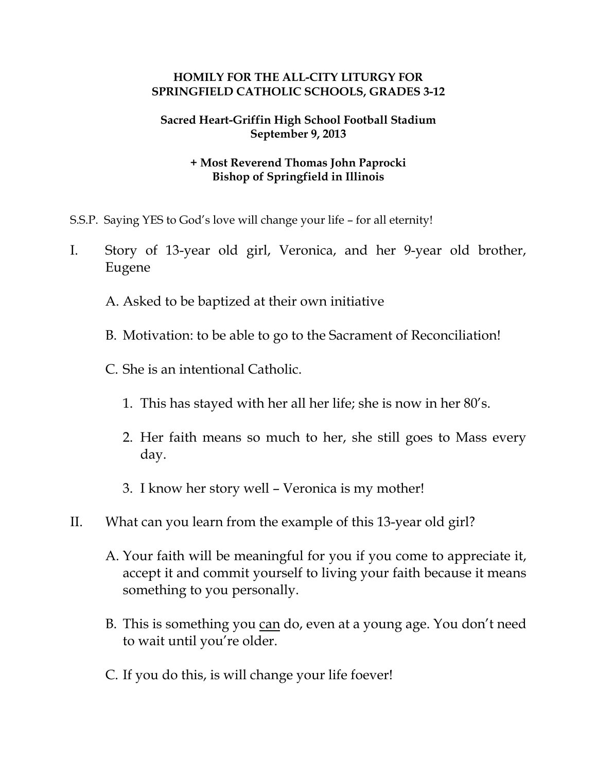## **HOMILY FOR THE ALL-CITY LITURGY FOR SPRINGFIELD CATHOLIC SCHOOLS, GRADES 3-12**

## **Sacred Heart-Griffin High School Football Stadium September 9, 2013**

## **+ Most Reverend Thomas John Paprocki Bishop of Springfield in Illinois**

- S.S.P. Saying YES to God's love will change your life for all eternity!
- I. Story of 13-year old girl, Veronica, and her 9-year old brother, Eugene
	- A. Asked to be baptized at their own initiative
	- B. Motivation: to be able to go to the Sacrament of Reconciliation!
	- C. She is an intentional Catholic.
		- 1. This has stayed with her all her life; she is now in her 80's.
		- 2. Her faith means so much to her, she still goes to Mass every day.
		- 3. I know her story well Veronica is my mother!
- II. What can you learn from the example of this 13-year old girl?
	- A. Your faith will be meaningful for you if you come to appreciate it, accept it and commit yourself to living your faith because it means something to you personally.
	- B. This is something you can do, even at a young age. You don't need to wait until you're older.
	- C. If you do this, is will change your life foever!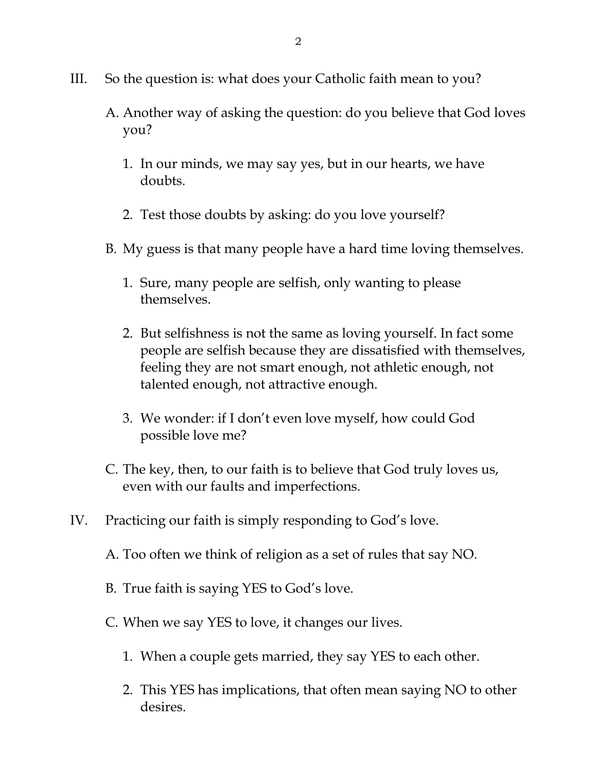- III. So the question is: what does your Catholic faith mean to you?
	- A. Another way of asking the question: do you believe that God loves you?
		- 1. In our minds, we may say yes, but in our hearts, we have doubts.
		- 2. Test those doubts by asking: do you love yourself?
	- B. My guess is that many people have a hard time loving themselves.
		- 1. Sure, many people are selfish, only wanting to please themselves.
		- 2. But selfishness is not the same as loving yourself. In fact some people are selfish because they are dissatisfied with themselves, feeling they are not smart enough, not athletic enough, not talented enough, not attractive enough.
		- 3. We wonder: if I don't even love myself, how could God possible love me?
	- C. The key, then, to our faith is to believe that God truly loves us, even with our faults and imperfections.
- IV. Practicing our faith is simply responding to God's love.
	- A. Too often we think of religion as a set of rules that say NO.
	- B. True faith is saying YES to God's love.
	- C. When we say YES to love, it changes our lives.
		- 1. When a couple gets married, they say YES to each other.
		- 2. This YES has implications, that often mean saying NO to other desires.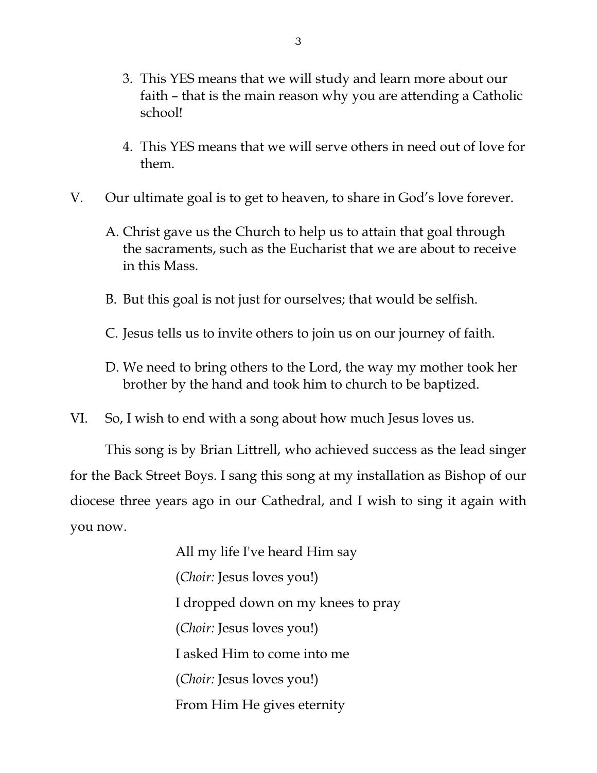- 3. This YES means that we will study and learn more about our faith – that is the main reason why you are attending a Catholic school!
- 4. This YES means that we will serve others in need out of love for them.
- V. Our ultimate goal is to get to heaven, to share in God's love forever.
	- A. Christ gave us the Church to help us to attain that goal through the sacraments, such as the Eucharist that we are about to receive in this Mass.
	- B. But this goal is not just for ourselves; that would be selfish.
	- C. Jesus tells us to invite others to join us on our journey of faith.
	- D. We need to bring others to the Lord, the way my mother took her brother by the hand and took him to church to be baptized.
- VI. So, I wish to end with a song about how much Jesus loves us.

This song is by Brian Littrell, who achieved success as the lead singer for the Back Street Boys. I sang this song at my installation as Bishop of our diocese three years ago in our Cathedral, and I wish to sing it again with you now.

> All my life I've heard Him say (*Choir:* Jesus loves you!) I dropped down on my knees to pray (*Choir:* Jesus loves you!) I asked Him to come into me (*Choir:* Jesus loves you!) From Him He gives eternity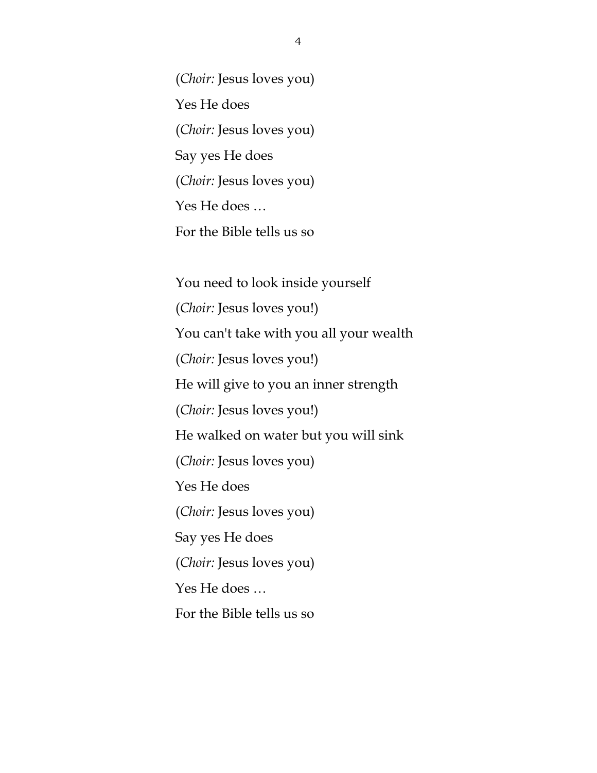(*Choir:* Jesus loves you) Yes He does (*Choir:* Jesus loves you) Say yes He does (*Choir:* Jesus loves you) Yes He does … For the Bible tells us so

You need to look inside yourself (*Choir:* Jesus loves you!) You can't take with you all your wealth (*Choir:* Jesus loves you!) He will give to you an inner strength (*Choir:* Jesus loves you!) He walked on water but you will sink (*Choir:* Jesus loves you) Yes He does (*Choir:* Jesus loves you) Say yes He does (*Choir:* Jesus loves you) Yes He does … For the Bible tells us so